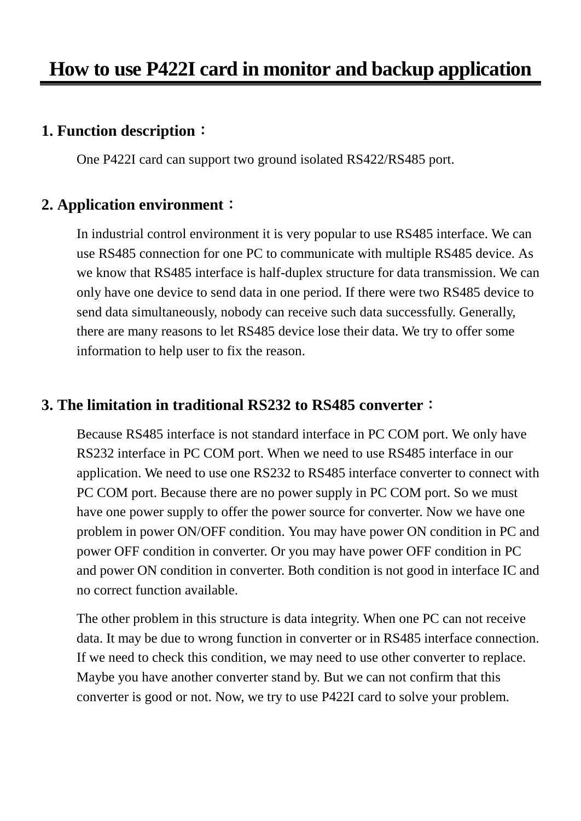### **1. Function description**:

One P422I card can support two ground isolated RS422/RS485 port.

### **2. Application environment**:

In industrial control environment it is very popular to use RS485 interface. We can use RS485 connection for one PC to communicate with multiple RS485 device. As we know that RS485 interface is half-duplex structure for data transmission. We can only have one device to send data in one period. If there were two RS485 device to send data simultaneously, nobody can receive such data successfully. Generally, there are many reasons to let RS485 device lose their data. We try to offer some information to help user to fix the reason.

### **3. The limitation in traditional RS232 to RS485 converter**:

Because RS485 interface is not standard interface in PC COM port. We only have RS232 interface in PC COM port. When we need to use RS485 interface in our application. We need to use one RS232 to RS485 interface converter to connect with PC COM port. Because there are no power supply in PC COM port. So we must have one power supply to offer the power source for converter. Now we have one problem in power ON/OFF condition. You may have power ON condition in PC and power OFF condition in converter. Or you may have power OFF condition in PC and power ON condition in converter. Both condition is not good in interface IC and no correct function available.

The other problem in this structure is data integrity. When one PC can not receive data. It may be due to wrong function in converter or in RS485 interface connection. If we need to check this condition, we may need to use other converter to replace. Maybe you have another converter stand by. But we can not confirm that this converter is good or not. Now, we try to use P422I card to solve your problem.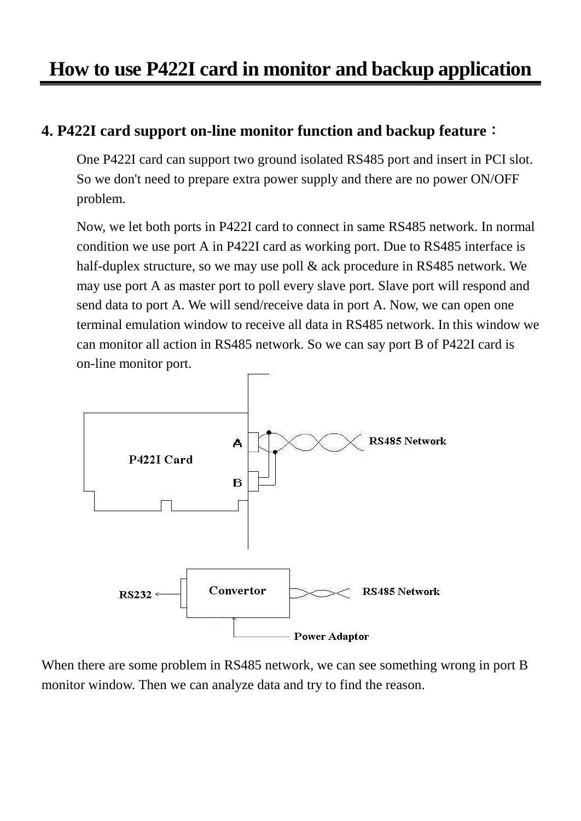# **How to use P422I card in monitor and backup application**

### **4. P422I card support on-line monitor function and backup feature**:

One P422I card can support two ground isolated RS485 port and insert in PCI slot. So we don't need to prepare extra power supply and there are no power ON/OFF problem.

Now, we let both ports in P422I card to connect in same RS485 network. In normal condition we use port A in P422I card as working port. Due to RS485 interface is half-duplex structure, so we may use poll & ack procedure in RS485 network. We may use port A as master port to poll every slave port. Slave port will respond and send data to port A. We will send/receive data in port A. Now, we can open one terminal emulation window to receive all data in RS485 network. In this window we can monitor all action in RS485 network. So we can say port B of P422I card is on-line monitor port.



When there are some problem in RS485 network, we can see something wrong in port B monitor window. Then we can analyze data and try to find the reason.